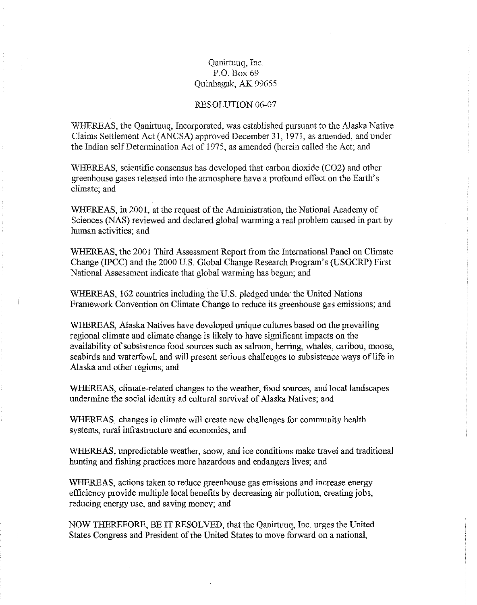# Qanirtuuq, Inc. P.O. Box 69 Quinhagak, AK 99655

#### RESOLUTION 06-07

WHEREAS, the Qanirtuuq, Incorporated, was established pursuant to the Alaska Native Claims Settlement Act (ANCSA) approved December 31, 1971, as amended, and under the Indian selfDetermination Act of 1975, as amended (herein called the Act; and

WHEREAS, scientific consensus has developed that carbon dioxide (C02) and other greenhouse gases released into the atmosphere have a profound effect on the Earth's climate; and

WHEREAS, in 2001, at the request of the Administration, the National Academy of Sciences (NAS) reviewed and declared global warming a real problem caused in part by human activities; and

WHEREAS, the 2001 Third Assessment Report from the International Panel on Climate Change (IPCC) and the 2000 U.S. Global Change Research Program's (USGCRP) First National Assessment indicate that global warming has begun; and

WHEREAS, 162 countries including the U.S. pledged under the United Nations Framework Convention on Climate Change to reduce its greenhouse gas emissions; and

WHEREAS, Alaska Natives have developed unique cultures based on the prevailing regional climate and climate change is likely to have significant impacts on the availability of subsistence food sources such as salmon, herring, whales, caribou, moose, seabirds and waterfowl, and will present serious challenges to subsistence ways of life in Alaska and other regions; and

WHEREAS, climate-related changes to the weather, food sources, and local landscapes undermine the social identity ad cultural survival of Alaska Natives; and

WHEREAS, changes in climate will create new challenges for community health systems, rural infrastructure and economies; and

WHEREAS, unpredictable weather, snow, and ice conditions make travel and traditional hunting and fishing practices more hazardous and endangers lives; and

WHEREAS, actions taken to reduce greenhouse gas emissions and increase energy efficiency provide multiple local benefits by decreasing air pollution, creating jobs, reducing energy use, and saving money; and

NOW THEREFORE, BE IT RESOLVED, that the Qanirtuuq, Inc. urges the United States Congress and President of the United States to move forward on a national,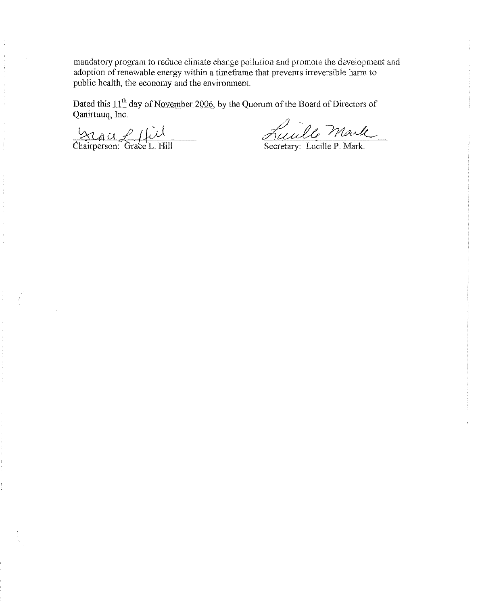mandatory program to reduce climate change pollution and promote the development and adoption of renewable energy within a timeframe that prevents irreversible harm to public health, the economy and the environment.

Dated this  $11<sup>th</sup>$  day of November 2006, by the Quorum of the Board of Directors of Qanirtuuq, Inc.

 $Z$ U $\mu$ U $Z$  $\mu$  $\overline{\mathcal{C}}$ 

Chairperson: Grace L.

<u>Fuculle Mark</u>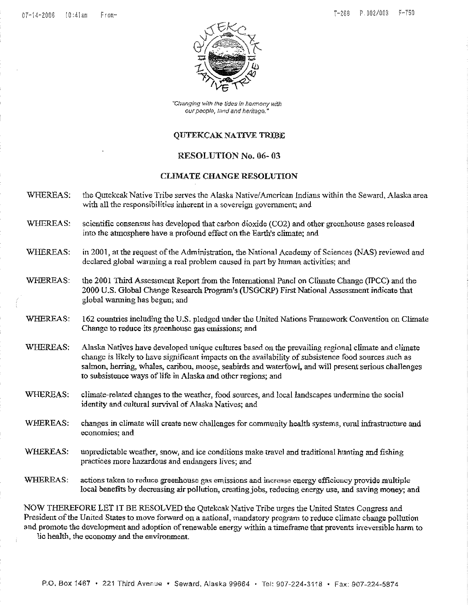

"Changing with the tides in harmony with our people, land and heritage."

#### **OUTEKCAK NATIVE TRIBE**

#### RESOLUTION No. 06- 03

#### CLIMATE CHANGE RESOLUTION

- WHEREAS: the Qutekcak Native Tribe serves the Alaska Native/American Indians within the Seward, Alaska area with all the responsibilities inherent in a sovereign government; and
- WHEREAS: scientific consensus has developed that carbon dioxide (C02) and other greenhouse gases released into the atmosphere have a profound effect on the Earth's climate; and
- WHEREAS: in 2001, at the request of the Administration, the National Academy of Sciences (NAS) reviewed and declared global warming a real problem caused in part by human activities; and
- WHEREAS: the 2001 Third Assessment Report from the International Panel on Climate Change (IPCC) and the 2000 U.S. Global Change Research Program's (USGCRP) First National Assessment indicate that global warming has begun; and
- WHEREAS: 162 countries including the U.S. pledged under the United Nations Framework Convention on Climate Change to reduce its greenhouse gas emissions; and
- WHEREAS: Alaska Natives have developed unique cultures based on the prevailing regional climate and climate change is likely to have significant impacts on the availability of subsistence food sources such as salmon, herring, whales, caribou, moose, seabirds and waterfowl, and will present serious challenges to subsistence ways of life in Alaska and other regions; and
- WHEREAS; climate-related changes to the weather, food sources, and local landscapes undermine the social identity and cultural survival of Alaska Natives; and
- WHEREAS: changes in climate will create new challenges for community health systems, rural infrastructure and **economies; and**
- WHEREAS: unpredictable weather, snow, and ice conditions make travel and traditional hunting and fishing practices more hazardous and endangers lives; and
- WHEREAS: actions taken to reduce greenhouse gas emissions and increase energy efficiency provide multiple local benefits by decreasing air pollution, creating jobs, reducing energy use, and saving money; and

NOW THEREFORE LET IT BE RESOLVED the Qutekcak Native Tribe urges the United States Congress and President of the United States to move forward on a national, mandatory program to reduce climate change pollution and promote the development and adoption ofrenewable energy within a tirneframe that prevents irreversible harm to lic health, the economy and the environment.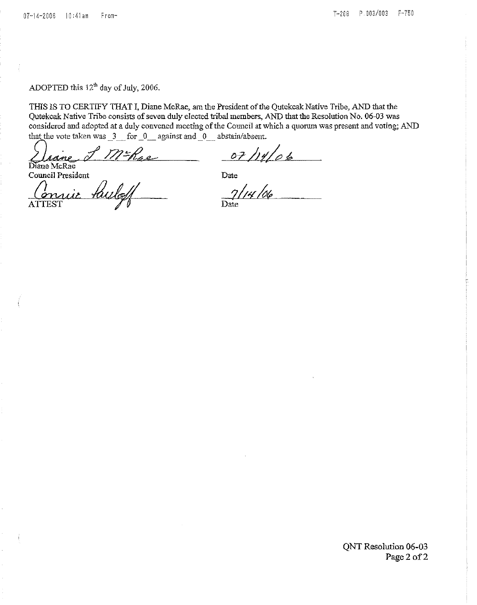ADOPTED this  $12<sup>th</sup>$  day of July, 2006.

THIS IS TO CERTIFY THAT I, Diane McRae, am the President of the Qutekcak Native Tribe, AND that the Qutekcak Native Tribe consists of seven duly elected tribal members, AND that the Resolution No. 06-03 was considered and adopted at a duly convened meeting of the Council at which a quorum was present and voting; AND that the vote taken was 3 for 0 against and 0 abstain/absent.

that the vote taken was  $\frac{3}{\sqrt{12}}$  for  $\frac{0}{\sqrt{12}}$  against and  $\frac{0}{\sqrt{12}}$  abstain/absent.<br>Diane McRae  $\frac{0}{\sqrt{12}}$  Mae  $\frac{0}{\sqrt{12}}$  /11/06

Council President Date

ATTEST  $\bigvee$   $\emptyset$  Date *f'cnw-i;t*

QNT Resolution 06-03 Page 2 of 2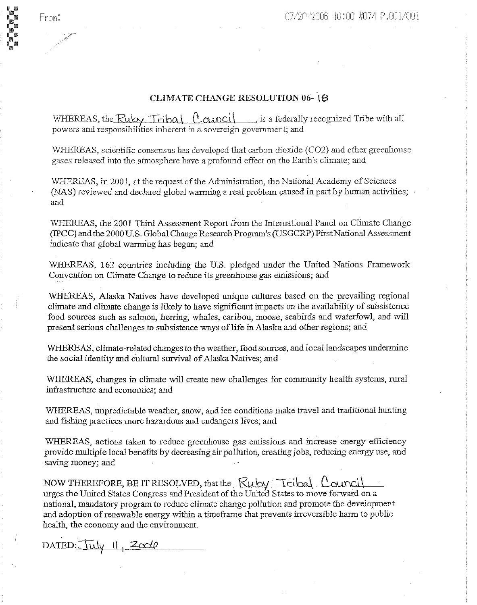# CLIMATE CHANGE RESOLUTION 06-18

WHEREAS, the  $Ruby$   $Tribal$   $(0$   $0$   $0$   $ncl)$  is a federally recognized Tribe with all powers and responsibilities inherent in a sovereign government; and

WHEREAS, scientific consensus has developed that carbon dioxide (C02) and other greenhouse gases released into the atmosphere have a profound effect on the Earth's climate; and

WHEREAS, in 2001, at the request of the Administration, the National Academy of Sciences (NAS) reviewed and declared global warming a real problem caused in part by human activities; and

WHEREAS, the 2001 Third Assessment Report from the International Panel on Climate Change (IPCC) and the 2000U.S. Global Change Research Program's (USGCRP) FirstNational Assessment indicate that global warming has begun; and

WHEREAS, 162 countries including the U.S. pledged under the United Nations Framework Convention on Climate Change to reduce its greenhouse gas emissions; and

WHEREAS, Alaska Natives have developed unique cultures based on the prevailing regional climate and climate change is likely to have significant impacts on the availability of subsistence food sources such as salmon, herring, whales, caribou, moose, seabirds and waterfowl, and will present serious challenges to subsistence ways of life in Alaska and other regions; and

WHEREAS, climate-related changes to the weather, food sources, and local landscapes undermine the social identity and cultural survival of Alaska Natives; and

WHEREAS, changes in climate will create new challenges for community health systems, rural infrastructure and economies; and

WHEREAS, unpredictable weather, snow, and ice conditions make travel and traditional hunting and fishing practices more hazardous and endangers lives; and

WHEREAS, actions taken to reduce greenhouse gas emissions and increase energy efficiency provide multiple local benefits by decreasing air pollution, creating jobs, reducing energy use, and saving money; and

NOW THEREFORE, BE IT RESOLVED, that the  $Ruby$   $Triba$   $\ell$  and urges the United States Congress and President of the United States to move forward on a national, mandatory program to reduce climate change pollution and promote the development and adoption ofrenewable energy within a timeframe that prevents irreversible harm to public health, the economy and the enviromnent.

 $\text{DATED:}\$  $\frac{1}{\sqrt{2}} \left| \frac{1}{\sqrt{2}} \right| \left| \frac{1}{\sqrt{2}} \right|$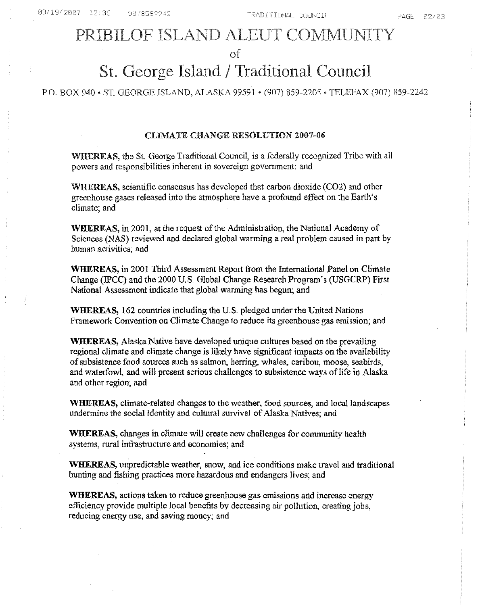# PRIBILOF ISLAND ALEUT COMMUNITY

of

# St. George Island / Traditional Council

PO. BOX 940 • *ST.* GEORGE ISLAND, ALASKA 99591 • (907) 859-2205 • TELEFAX (907) 859-2242

#### CLIMATE CHANGE RESOLUTION 2007-06

WHEREAS, the St. George Traditional Council, is a federally recognized Tribe with all powers and responsibilities inherent in sovereign government: and

WHEREAS, scientific consensus has developed that carbon dioxide (C02) and other greenhouse gases released into the atmosphere have a profound effect on the Earth's climate; and

**WHEREAS,** in 2001, at the request ofthe Administration, the National Academy of Sciences (NAS) reviewed and declared global warming a real problem caused in part by human activities; and

**WHEREAS,** in 2001 Third Assessment Report from the International Panel on Climate Change (!PCC) and the 2000 U.S. Global Change Research Program's (USGCRP) First National Assessment indicate that global warming has begun; and

**WHEREAS,** 162 countries including the U.S. pledged under the United Nations Framework Convention on Climate Change to reduce its greenhouse gas emission; and

**WHEREAS,** Alaska Native have developed unique cultures based on the prevailing regional climate and climate change is likely have significant impacts on the availability ofsubsistence food sources such as salmon, herring, whales, caribou, moose, seabirds, and waterfowl, and will present serious challenges to subsistence ways of life in Alaska and other region; and

**WHEREAS,** climate-related changes to the weather, food sources, and local landscapes undermine the social identity and cultural survival of Alaska Natives; and

**WHEREAS,** changes **in** climate will create new challenges for community health systems, rural infrastructure and economies; and

**W.HEREAS,** unpredictable weather, snow, and ice conditions make travel and traditional hunting and fishing practices more hazardous and endangers Jives; and

**WHEREAS,** actions taken to reduce greenhouse gas emissions and increase energy efficiency provide multiple local benefits by decreasing air pollution, creating jobs, reducing energy use, and saving money; and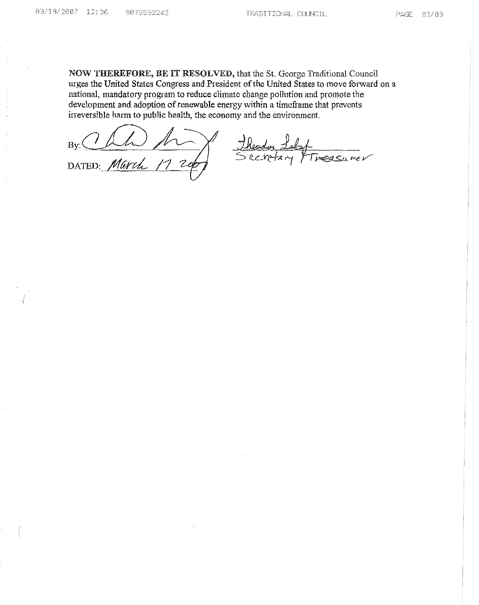NOW THEREFORE, BE IT RESOLVED, that the St. George Traditional Council urges the United States Congress and President of the United States to move forward on a national, mandatory program to reduce climate change pollution and promote the development and adoption of renewable energy within a timeframe that prevents irreversible harm to public health, the economy and the environment.

 $B$ y: $CLM$ DATED: Marco

Ineasurer <u>Jheodor Jok</u><br>Secretary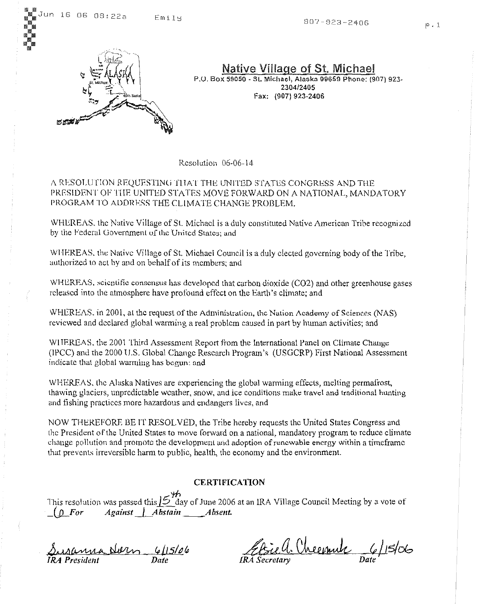:<br>::: iiillllll **III** 



Native Village of St. Michael P.U. Box 59050 - St. Michael, Alaska 99659 Phone: (907) 923-*2304/2405* Fax: (907) 923-2406

Resolution 06-06-\4

/\ RESOl.UTION REQUFSTlNUfllAT THE UNITED STATES CONGRESS AND THE PRESIDENT OF THE UNITED STATES MOVE FORWARD ON A NATIONAL, MANDATORY PROGRAM TO ADDRESS THE CLIMATE CHANGE PROBLEM.

WHEREAS. the Native Village of S1. Michael is a duly constituted Native American Tribe recognized by the Federal Government of the United States: and

WHEREAS, the Native Village of St. Michael Council is a duly elected governing body of the Tribe, authorized to act by and on behalf of its members; and

WHEREAS. scientific consensus has developed that carbon dioxide (C02) and other greenhouse gases released into the atmosphere have profound effect on the Earth's climate; and

WHEREAS. in 2001, at the request of the Administration, the Nation Academy of Sciences (NAS) reviewed and declared global warming a real problem caused in part by human activities; and

WIIFREAS, the 2001 Third Assessment Report from the International Panel on Climate Change (IPCC) and the 2000 U.S. Global Change Research Program's (USGCRP) First National Assessment indicate that global warming has begun: and

WHEREAS. the Alaska Natives are experiencing the global warming effects, melting permafrost, thawing glaciers, unpredictable weather, snow, and ice conditions make travel and traditional hunting and fishing practices more hazardous and endangers lives, and

NOW THEREFORE BE IT RESOLVED, the Tribe hereby requests the United States Congress and the President of the United States to move forward on a national, mandatory program to reduce climate change pollution and promote the development and adoption ofrenewable energy within a tirneframc that prevents irreversible harm to pu blic, health, the economy and the environment.

# **CERTIFICATION**

'tf> This resolution was passed this  $\cancel{5}$  day of June 2006 at an IRA Village Council Meeting by a vote of *(* $\Omega$  For *Against .Abstain Absent.* 

Susanna Norn 6/15/06 *IRA President Dale*

Elsiell. Cheepute 6/15/06 *IRA Secretary Date*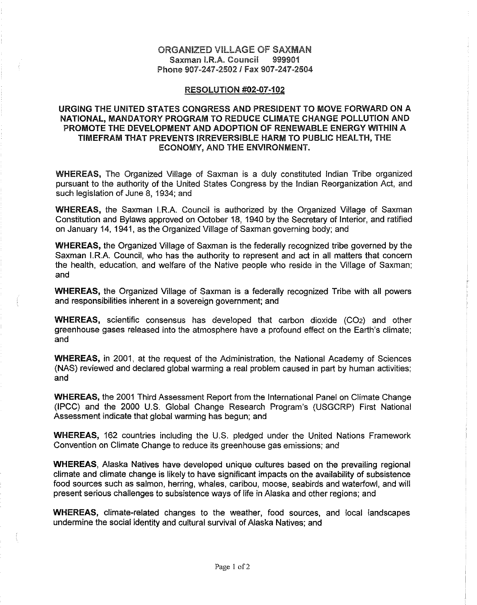# ORGANIZED VILLAGE OF SAXMAN Saxman I.R.A. Council 999901 Phone 907-247-2502 / Fax 907-247-2504

#### RESOLUTION #02-07-102

# URGING THE UNITED STATES CONGRESS AND PRESIDENT TO MOVE FORWARD ON A NATIONAL, MANDATORY PROGRAM TO REDUCE CLIMATE CHANGE POLLUTION AND PROMOTE THE DEVELOPMENT AND ADOPTION OF RENEWABLE ENERGY WITHIN A TIMEFRAM THAT PREVENTS IRREVERSIBLE HARM TO PUBLIC HEALTH, THE ECONOMY, AND THE ENVIRONMENT.

WHEREAS, The Organized Village of Saxman is a duly constituted Indian Tribe organized pursuant to the authority of the United States Congress by the Indian Reorganization Act, and such legislation of June 8, 1934; and

WHEREAS, the Saxman I.RA. Council is authorized by the Organized Village of Saxman Constitution and Bylaws approved on October 18, 1940 by the Secretary of Interior, and ratified on January 14, 1941, as the Organized Village of Saxman governing body; and

WHEREAS, the Organized Village of Saxman is the federally recognized tribe governed by the Saxman IRA Council, who has the authority to represent and act in all matters that concern the health, education, and welfare of the Native people who reside in the Village of Saxman; and

WHEREAS, the Organized Village of Saxman is a federally recognized Tribe with all powers and responsibilities inherent in a sovereign government; and

WHEREAS, scientific consensus has developed that carbon dioxide (C02) and other greenhouse gases released into the atmosphere have a profound effect on the Earth's climate; and

WHEREAS, in 2001, at the request of the Administration, the National Academy of Sciences (NAS) reviewed and declared global warming a real problem caused in part by human activities; and

WHEREAS, the 2001 Third Assessment Report from the International Panel on Climate Change (IPCC) and the 2000 U.S. Global Change Research Program's (USGCRP) First National Assessment indicate that global warming has begun; and

WHEREAS, 162 countries including the U.S. pledged under the United Nations Framework Convention on Climate Change to reduce its greenhouse gas emissions; and

WHEREAS, Alaska Natives have developed unique cultures based on the prevailing regional climate and climate change is likely to have significant impacts on the availability of subsistence food sources such as salmon, herring, whales, caribou, moose, seabirds and waterfowl, and will present serious challenges to subsistence ways of life in Alaska and other regions; and

WHEREAS, climate-related changes to the weather, food sources, and local landscapes undermine the social identity and cultural survival of Alaska Natives; and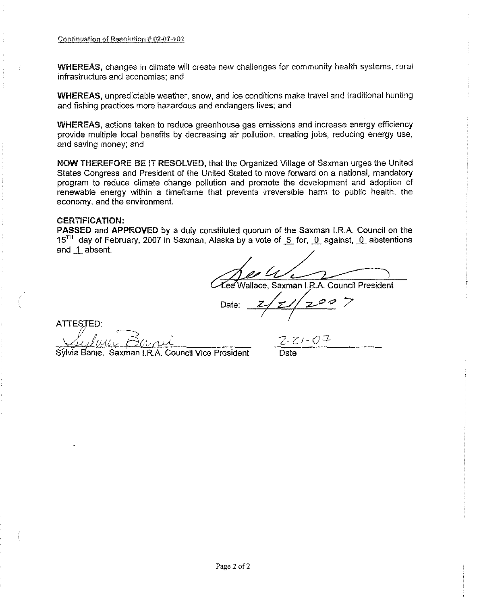WHEREAS, changes in climate will create new challenges for community health systems, rural infrastructure and economies; and

WHEREAS, unpredictable weather, snow, and ice conditions make travel and traditional hunting and fishing practices more hazardous and endangers lives; and

WHEREAS, actions taken to reduce greenhouse gas emissions and increase energy efficiency provide multiple local benefits by decreasing air pollution, creating jobs, reducing energy use, and saving money; and

NOW THEREFORE BE IT RESOLVED, that the Organized Village of Saxman urges the United States Congress and President of the United Stated to *move* forward on a national, mandatory program to reduce climate change pollution and promote the development and adoption of renewable energy within a timeframe that prevents irreversible harm to public health, the economy, and the environment.

# CERTIFICATION:

**PASSED** and **APPROVED** by a duly constituted quorum of the Saxman I.R.A. Council on the 15<sup>TH</sup> day of February, 2007 in Saxman, Alaska by a vote of 5 for, 0 against, 0 abstentions and \_1 absent.

e Wallace, Saxman **I.RA** Council President

Date:  $2/z//200$  $\overline{1}$ 

ATTESTED:

Sylvia Banie, Saxman I.R.A. Council Vice President

 $Z$ (-07 Date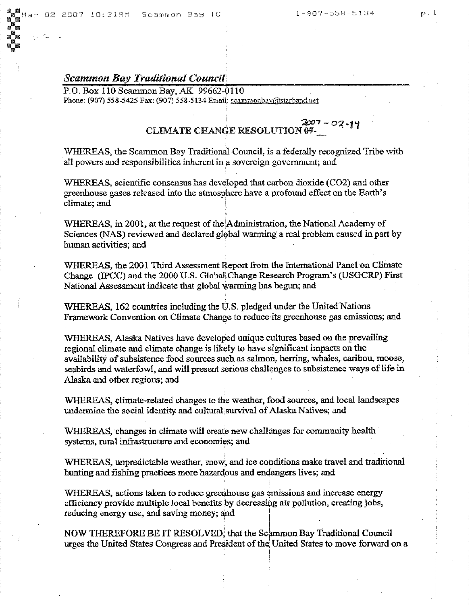# *Scammon Bay Traditional Council*

P.O. Box 110 Scammon Bay, AK 99662-0110 Phone: (907) 558-5425 Fax: (907) 558-5134 Email: scammonbay@starband.nct

#### $2007 - 02 - 14$ CLIMATE CHANGE RESOLUTION 07-

WHEREAS, the Scammon Bay Traditional Council, is a federally recognized Tribe with all powers and responsibilities inherent in a sovereign government; and

WHEREAS, scientific consensus has developed that carbon dioxide (C02) and other greenhouse gases released into the atmosphere have a profound effect on the Earth's climate; and

WHEREAS, in 2001, at the request of the Administration, the National Academy of Sciences (NAS) reviewed and declared global warming a real problem caused in part by human activities; and

WHEREAS, the 2001 Third Assessment Report from the International-Panel on Climate Change (IPCC) and the 2000 U.S. Global Change Research Program's (USGCRP) First National Assessment indicate that global warming has begun; and

WHEREAS, 162 countries including the U.S. pledged under the United Nations Framework Convention on Climate Change to reduce its greenhouse gas emissions; and

WHEREAS, Alaska Natives have developed unique cultures based on the prevailing regional climate and climate change is likely to have significant impacts on the availability of subsistence food sources such as salmon, herring, whales, caribou, moose, seabirds and waterfowl, and will present serious challenges to subsistence ways of life in Alaska and other regions; and '

WHEREAS, climate-related changes to the weather, food sources, and local landscapes undermine the social identity and cultural survival of Alaska Natives; and

WHEREAS, changes in climate will create new challenges for community health systems, rural infrastructure and economies; and

WHEREAS, unpredictable weather, snow, and ice conditions make travel and traditional hunting and fishing practices more hazardous and endangers lives; and

WHEREAS, actions taken to reduce greenhouse gas emissions and increase energy efficiency provide multiple local benefits by decreasing air pollution, creating jobs, reducing energy use, and saving money; and :

. ! NOW THEREFORE BE IT RESOLVED, that the Scammon Bay Traditional Council urges the United States Congress and President of the United States to move forward on a ,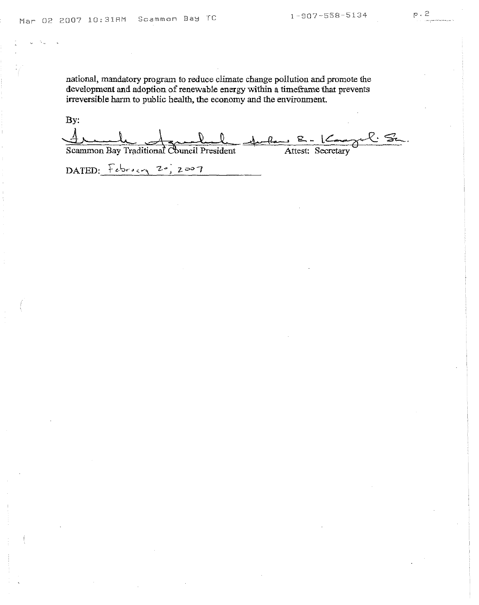national, mandatory program to reduce climate change pollution and promote the development and adoption of renewable energy within a timeframe that prevents irreversible harm to public health, the economy and the environment.

By: <u> Dunda Jamel</u> Scammon Bay Traditional Council President DATED:  $F_{\text{obs}}$  20, 2007 1 Paul 8 - Kangel St. Attest: Secretary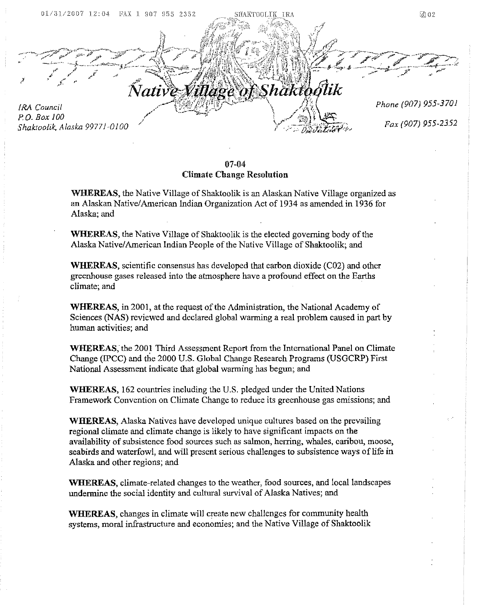

07-04 Climate Change Resolution

WHEREAS, the Native Village of Shaktoolik is an Alaskan Native Village organized as an Alaskan Native/American Indian Organization Act of 1934 as amended in 1936 for Alaska; and

WHEREAS, the Native Village of Shaktoolik is the elected governing body of the Alaska Native/American Indian People of the Native Village of Shaktoolik; and

WHEREAS, scientific consensus has developed that carbon dioxide (C02) and other greenhouse gases released into the atmosphere have a profound effect on the Earths climate; and .

WHEREAS, in 2001, at the request of the Administration, the National Academy of Sciences (NAS) reviewed and declared global warming a real problem caused in part by human activities; and

WHEREAS; the 2001 Third Assessment Report from the International Panel on Climate Change (IPCe) and the 2000 U.S\_ Global Change Research Programs (USGCRP) First National Assessment indicate that global warming has begun; and

WHEREAS, 162 countries including the U.S. pledged under the United Nations Framework Convention on Climate Change to reduce its greenhouse gas emissions; and

WHEREAS, Alaska Natives have developed unique cultures based on the prevailing regional climate and climate change is likely to have significant impacts on the availability of subsistence food sources such as salmon, herring, whales, caribou, moose, seabirds and waterfowl, and will present serious challenges to subsistence ways of life in Alaska and other regions; and

WHEREAS, climate-related changes to the weather, food sources, and local landscapes undermine the social identity and cultural survival of Alaska Natives; and

WHEREAS, changes in climate will create new challenges for community health systems, moral infrastructure and economies; and the Native Village of Shaktoolik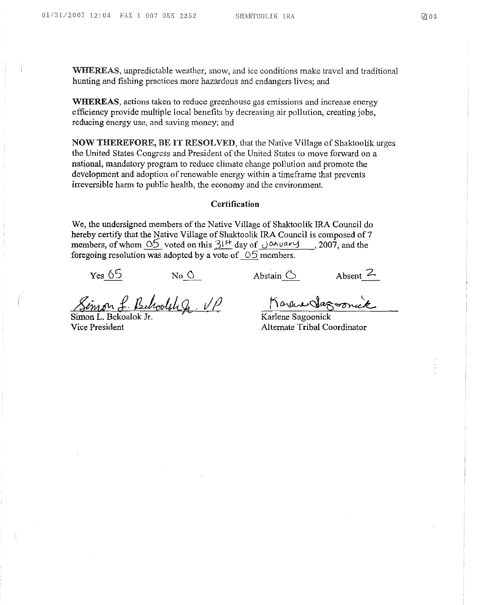WHEREAS, unpredictable weather, snow, and ice conditions make travel and traditional hunting and fishing practices more hazardous and endangers lives; and

WHEREAS, actions taken to reduce greenhouse gas emissions and increase energy efficiency provide multiple local benefits by decreasing air pollution, creating jobs, reducing energy use, and saving money; and

NOW THEREFORE, BE IT RESOLVED, that the Native Village of Shaktoolik urges the United States Congress and President of the United States to move forward on a national, mandatory program to reduce climate change pollution and promote the development and adoption of renewable energy within a timeframe that prevents irreversible harm to public health, the economy and the environment.

#### Certification

We, the undersigned members of the Native Village of Shaktoolik IRA Council do hereby certify that the Native Village of Shaktoolik IRA Council is composed of 7 members, of whom  $\frac{05}{1}$  voted on this  $3^{15+}$  day of Johuary, 2007, and the foregoing resolution was adopted by a vote of  $\circ$  5 members.

 $Yes. 65$  No 0 Abstain 6 Absent 2

Simon L. Behoolthg. VP

Vice President

Karene Sagoonick

Karlene Sagoonick Alternate Tribal Coordinator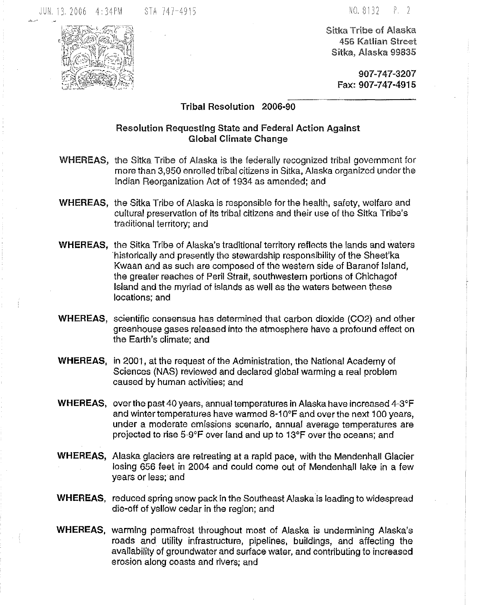Sitka Tribe of Alaska 456 Katlian Street Sitka, Alaska 99835

> 907-747-3207 Fax: 907-747-4915

Tribal Resolution 2006-90

# Resolution Requesting State and Federal Action Against Global Climate Change

- WHEREAS, the Sitka Tribe of Alaska is the federally recognized tribal government for more than 3,950 enrolled tribal citizens in Sitka, Alaska organized under the Indian Reorganization Act of 1934 as amended; and
- WHEREAS, the Sitka Tribe of Alaska is responsible for the health, safety, welfare and cultural preservation of its tribal citizens and their use of the Sitka Tribe's traditional territory; and
- WHEREAS, the Sitka Tribe of Alaska's traditional territory reflects the lands and waters historically and presently the stewardship responsibility of the Sheet'ka Kwaan and as such are composed of the western side of Baranof Island, the greater reaches of Peril Strait, southwestern portions of Chichagof Island and the myriad of islands as well as the waters between these locations; and
- WHEREAS, scientific consensus has determined that carbon dioxide (C02) and other greenhouse gases released into the atmosphere have a profound effect on the Earth's climate; and
- WHEREAS, in 2001, at the request of the Administration, the National Academy of Sciences (NAS) reviewed and declared global warming a real problem caused by human activities; and
- WHEREAS, over the past 40 years, annual temperatures in Alaska have increased 4-3°F and winter temperatures have warmed 8-1O°F and overthe next 100 years, under a moderate emissions scenario, annual average temperatures are projected to rise 5-9°F over land and up to 13°F over the oceans; and
- WHEREAS, Alaska glaciers are retreating at a rapid pace, with the Mendenhall Glacier losing 656 feet in 2004 and could come out of Mendenhall lake in a few years or less; and
- WHEREAS, reduced spring snow pack in the Southeast Alaska is leading to widespread die-off of yellow cedar in the region; and
- WHEREAS, warming permafrost throughout most of Alaska is undermining Alaska's roads and utility infrastructure, pipelines, buildings, and affecting the availability of groundwater and surface water, and contributing to increased erosion along coasts and rivers; and

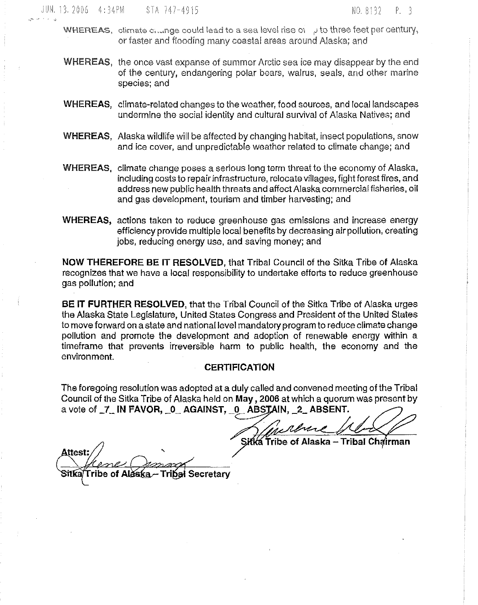- WHEREAS, climate c, ange could lead to a sea level rise  $\alpha$  , J to three feet per century, or faster and flooding many coastal areas around Alaska; and
- WHEREAS, the once vast expanse of summer Arctic sea ice may disappear by the end of the century, endangering polar bears, walrus, seals, and other marine species; and
- WHEREAS, climate-related changes to the weather, food sources, and local landscapes undermine the social identity and cultural survival of Alaska Natives; and
- WHEREAS, Alaska wildlife will be affected by changing habitat, insect populations, snow and ice cover, and unpredictable weather related to climate change; and
- WHEREAS, climate change poses a serious long term threat to the economy of Alaska, including costs to repair infrastructure, relocate villages, fight forest fires, and address new public health threats and affect Alaska commercial fisheries, oil and gas development, tourism and timber harvesting; and
- WHEREAS, actions taken to reduce greenhouse gas emissions and increase energy efficiency provide multiple local benefits by decreasing air pollution, creating jobs, reducing energy use, and saving money; and

NOW THEREFORE BE IT RESOLVED, that Tribal Council of the Sitka Tribe of Alaska recognizes that we have a local responsibility to undertake efforts to reduce greenhouse gas pollution; and

BE IT FURTHER RESOLVED, that the Tribal Council of the Sitka Tribe of Alaska urges the Alaska State Legislature, United States Congress and President of the United States to move forward on a state and national level mandatory program to reduce climate change pollution and promote the development and adoption of renewable energy within a timeframe that prevents irreversible harm to publlc health, the economy and the environment.

#### **CERTIFICATION**

The foregoing resolution was adopted at a duly called and convened meeting of the Tribal Council of the Sitka Tribe of Alaska held on May, 2006 at which a quorum was present by a vote of 7 IN FAVOR, 0 AGAINST, 0 ABSTAIN, 2 ABSENT.

is rever

Sitka Tribe of Alaska - Tribal Chairman

Attest Tribe of Alaska 3itka' **Secretary**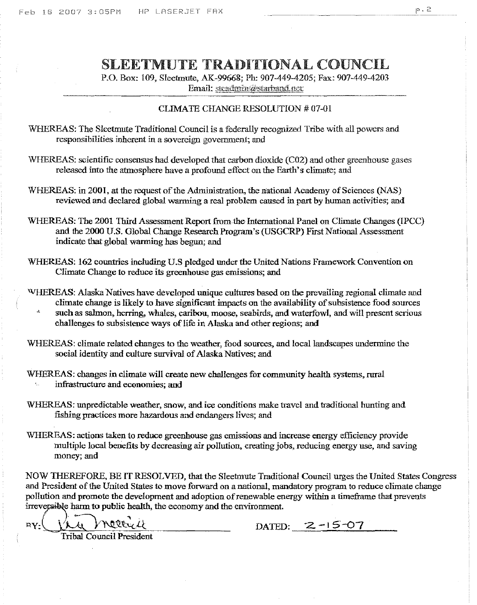# SLEETMUTE TRADITIONAL COUNCIL

r.o, Box: 109, Sleetmute, AK-99668; Ph: 907-449-4205; Fax: 907-449-4203 Email: stcadmin@etarband.net

#### CLIMATE CHANGE RESOLUTION # 07-01

WHEREAS: The Sleetmute Traditional Council is a federally recognized Tribe with all powers and responsibilities inherent in a sovereign government; and

- WHEREAS: scientific consensus had developed that carbon dioxide (C02) and other greenhouse gases released into the atmosphere have a profound effect on the Earth's climate; and
- WHEREAS: in 2001, at the request of the Administration, the national Academy of Sciences (NAS) reviewed and declared global warming a real problem caused in part by human activities; and
- WHEREAS: The 2001 Third Assessment Report fromthe International Panel on Climate Changes (IPCC) and the 2000 U.S. Global Change Research Program's (USGCRP) First National Assessment indicate that global warming has begun; and
- WHEREAS: 162 countries including U.S pledged under the United Nations Framework Convention on Climate Change to reduce its greenhouse gas emissions; and
- WHEREAS: Alaska Natives have developed unique cultures based on the prevailing regional climate and climate change is likely to have significant impacts on the availability of subsistence food sources such as salmon, herring, whales, caribou, moose, seabirds, and waterfowl, and will present serious challenges to subsistence ways of life in Alaska and other regions; and
- WHEREAS: climate related changes to the weather, food sources, and local landscapes undermine the social identity and culture survival of Alaska Natives; and

WHEREAS; changes in climate will create new challenges for community health systems, rural infrastructure and economies; and

- WHEREAS; unpredictable weather, snow, and ice conditions make travel and traditional hunting and fishing practices more hazardous and endangers lives; and
- WHEREAS: actions taken to reduce greenhouse gas emissions and increase energy efficiency provide multiple local benefits by decreasing air pollution, creating jobs, reducing energy use, and saving money; and

NOW THEREFORE, BE ITRESOLVED, that the Sleetmute Traditional Council urges the United States Congress and President of the United States to move forward on a national, mandatory program to reduce climate change pollution and promote the development and adoption ofrenewable energy within a timeframe that prevents irreversible harm to public health, the economy and the environment.

 $RY:\bigcup \mathcal{L}\cup \bigcup \mathcal{L}$  metric  $\mathcal{L}$  DATED: 2-15-07 Tribal Council President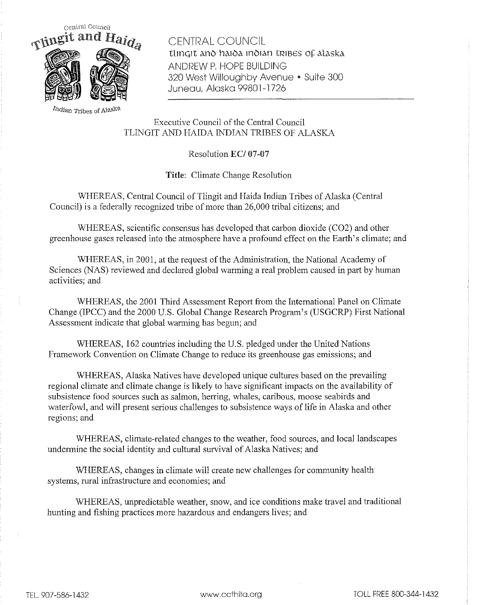

CENTRAL COUNCIL tlingit ano haioa inoian tribes of alaska ANDREW P, HOPE BUILDING 320 West Willoughby Avenue • Suite 300 Juneau, Alaska 99801-1726

**Indian Tribes of Alask\$.**

Executive Council of the Central Council TLINGIT AND HAIDA INDIAN TRIBES OF ALASKA

Resolution EC/07-07

**Title:** Climate Change Resolution

WHEREAS, Central Council of Tlingit and Haida Indian Tribes of Alaska (Central Council) is a federally recognized tribe of more than 26,000 tribal citizens; and

WHEREAS, scientific consensus has developed that carbon dioxide (C02) and other greenhouse gases released into the atmosphere have a profound effect on the Earth's climate; and

WHEREAS, in 2001, at the request of the Administration, the National Academy of Sciences (NAS) reviewed and declared global warming a real problem caused in part by human activities; and

WHEREAS, the 2001 Third Assessment Report from the International Panel on Climate Change (lPCC) and the 2000 U,S, Global Change Research Program's (USGCRP) First National Assessment indicate that global warming has begun; and

WHEREAS, 162 countries including the U,S, pledged under the United Nations Framework Convention on Climate Change to reduce its greenhouse gas emissions; and

WHEREAS, Alaska Natives have developed unique cultures based on the prevailing regional climate and climate change is likely to have significant impacts on the availability of subsistence food sources such as salmon, herring, whales, caribous, moose seabirds and waterfowl, and will present serious challenges to subsistence ways of life in Alaska and other regions; and

WHEREAS, climate-related changes to the weather, food sources, and local landscapes undermine the social identity and cultural survival of Alaska Natives; and

WHEREAS, changes in climate will create new challenges for community health systems, rural infrastructure and economies; and

WHEREAS, unpredictable weather, snow, and ice conditions make travel and traditional hunting and fishing practices more hazardous and endangers lives; and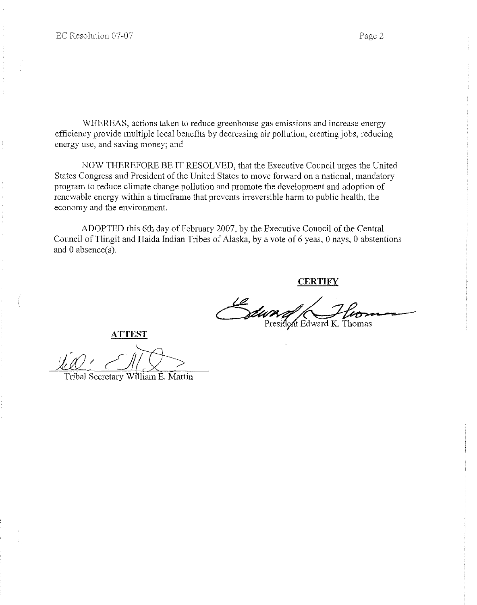WHEREAS, actions taken to reduce greenhouse gas emissions and increase energy efficiency provide multiple local benefits by decreasing air pollution, creating jobs, reducing energy use, and saving money; and

NOW THEREFORE BE IT RESOLVED, that the Executive Council urges the United States Congress and President of the United States to move forward on a national, mandatory program to reduce climate change pollution and promote the development and adoption of renewable energy within a timeframe that prevents irreversible harm to public health, the economy and the environment.

ADOPTED this 6th day of February 2007, by the Executive Council of the Central Council of Tlingit and Haida Indian Tribes of Alaska, by a vote of 6 yeas, 0 nays, 0 abstentions and 0 absence(s).

**CERTIFY**

President Edward K. Thomas

**ATTEST**

Tribal Secretary William E. Martin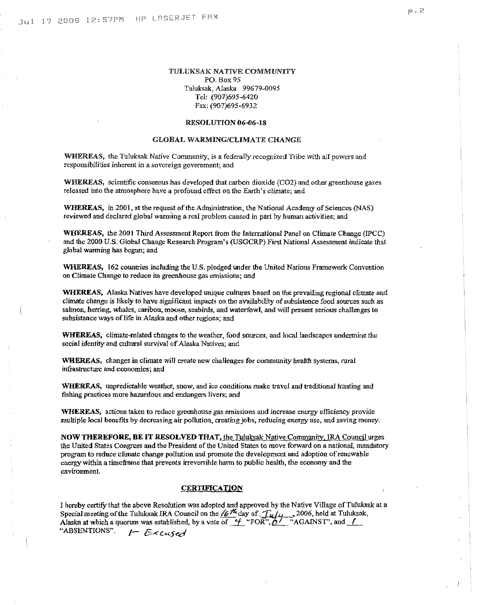#### TULUKSAK NATIVE COMMUNITY PO. Box 95 Tuluksak, Alaska 99679-0095 Tel: (907)695-6420 Fax: (907)695-6932

#### RESOLUTION 06-06-18

#### GLOBAL WARMING/CLIMATE CHANGE

WHEREAS, the Tuluksak Native Community, is a federally recognized Tribe with all powers and responsibilities inherent in a sovereign government; and

WHEREAS, scientific consensus has developed that carbon dioxide (CO2) and other greenhouse gases released into the atmosphere have a profound effect on the Earth's climate; and

WHEREAS, in 2001, at the request of the Administration, the National Academy of Sciences (NAS) reviewed and declared global warming a real problem caused in part by human activities; and

WHEREAS, the 2001 Third Assessment Report from the International Panel on Climate Change (IPCC) and the 2000 U.S. Global Change Research Program's (USGCRP) First National Assessment indicate that global warming has beguo; and

WHEREAS, 162 countries including the U.S. pledged under the United Nations Framework Convention on Climate Change to reduce its greenhouse gas emissions; and

WHEREAS, Alaska Natives have developed unique cultures based on the prevailing regional climate and climate change is likely to have significant impacts on the availability of subsistence food sources such as salmon, herring, whales, caribou, moose, seabirds, and waterfowl, and will present serious challenges to subsistence ways of life in Alaska and other regions; and

WHEREAS, climate-related changes to the weather, food sources, and local landscapes undermine the social identity and cultural survival of Alaska Natives; and

WHEREAS, changes in climate will create new challenges for community health systems, rural infrastructure and economies; **and**

WHEREAS, unpredictable weather, snow, and ice conditions make travel and traditional hunting and fishing practices more hazardous and endangers livers; and

**WHEREAS,** actions taken to reduce greenhouse gas emissions and increase energy efficiency provide multiple local benefits by decreasing air pollution, creatingjobs, reducing energy use, and saving money.

NOW THEREFORE, BE IT RESOLVED THAT, the Tuluksak Native Community, IRA Council urges the United States Congress and the President of the United States to move forward on a national, mandatory program to reduce climate change pollution and promote the development and adoption ofrenewable energy within a timeframe that prevents irreversible harm to public health, the economy and the environment

#### CERTIFICATION

I hereby certify that tbe above Resolution was adopted and approved by the Nalive Village of Tuluksak at a Special meeting of the Tuluksak IRA Council on the *16<sup>14</sup>* day of  $\int_{\mathcal{U}} f_{\mathcal{U}} f_{\mathcal{U}}$ , 2006, held at Tuluksak, Alaska at which a quorum was established, by a vote of  $f$  "FOR", $a$ ... "AGAINST", and  $f$ "ABSENTIONS". **I-** Excused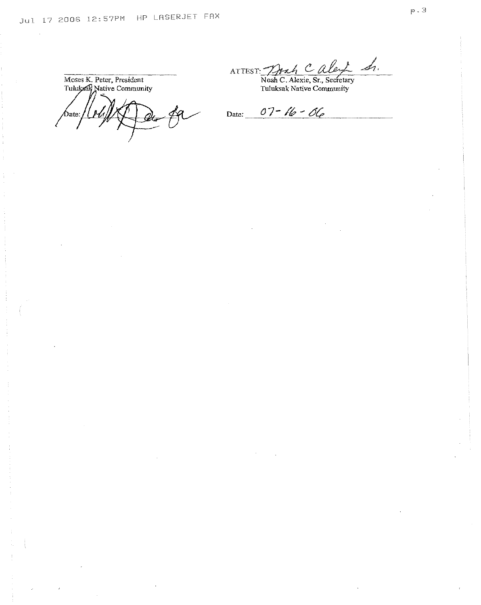**Moses K.** Peter, **President** Tuluksak Native Community

ATTEST: Trah Caley Sr.

Noah C. Alexie, Sr., Secfetary Tuluksak Native Community

Date:

Date:  $07 - 16 - 06$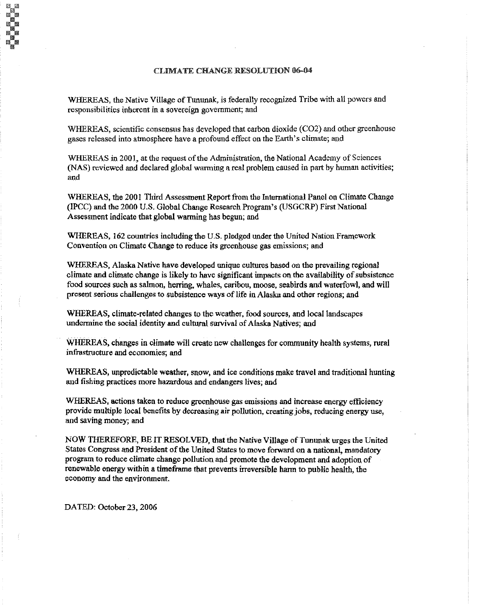#### CLIMATE CHANGE RESOLUTION 06-04

WHEREAS, the Native Village of Tununak, is federally recognized Tribe with all powers and responsibilities inherent in a sovereign government; and

WHEREAS, scientific consensus has developed that carbon dioxide (C02) and other greenhouse gases released into atmosphere have a profound effect on the Earth's climate; and

WHEREAS in 2001, at the request of the Administration, the National Academy of Sciences (NAS) reviewed and declared global warming a real problem caused in part by human activities; and

WHEREAS, the 2001 Third Assessment Report from the International Panel on Climate Change (IPCC) and the 2000 U.S. Global Change Research Program's (USGCRP) First National Assessment indicate that global warming has begun; and

WHEREAS, 162 countries including the U.S. pledged under the United Nation Framework Convention on Climate Change to reduce its greenhouse gas emissions; and

WHEREAS, Alaska Native have developed unique cultures based on the prevailing regional climate and climate change is likely to have significant impacts on the availability of subsistence food sources such as salmon, herring, whales, caribou, moose, seabirds and waterfowl, and will present serious challenges to subsistence ways of life in Alaska and other regions; and

WHEREAS, climate-related changes to the weather, food sources, and local landscapes undermine the social identity and cultural survival of Alaska Natives; and

WHEREAS, changes in climate will create new challenges for community health systems, rural infrastructure and economies; and

WHEREAS, unpredictable weather, snow, and ice conditions make travel and traditional hunting and fishing practices more hazardous and endangers lives; and

WHEREAS, actions taken to reduce greenhouse gas emissions and increase energy efficiency provide multiple local benefits by decreasing air pollution, creating jobs, reducing energy use, and saving money; and

NOW THEREFORE, BE IT RESOLVED, that the Native Village of Tununak urges the United States Congress and President of the United States to move forward on a national, mandatory program to reduce climate change pollution and promote the development and adoption of renewable energy within a timeframe that prevents irreversible harmto public health, the economy and the environment.

DATED: October 23, 2006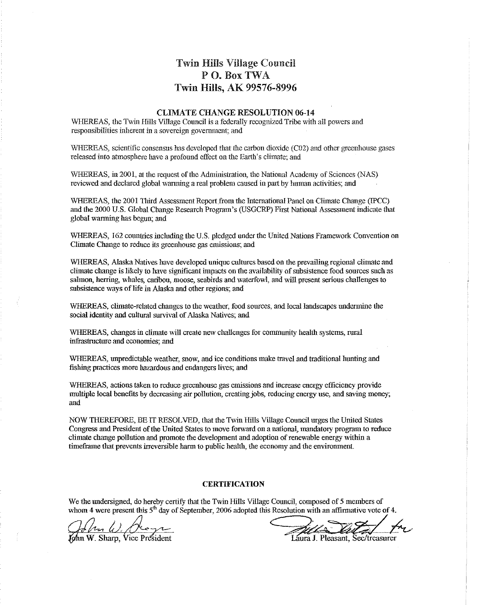# Twin Hills Village Council PO. Box TWA Twin Hills, AK 99576-8996

#### CLIMATE CHANGE RESOLUTION 06-14

WHEREAS, the Twin Hills Village Council is a federally recognized Tribe with all powers and responsibilities inherent in a sovereign government; and

WHEREAS, scientific consensus has developed that the carbon dioxide (C02) and other greenhouse gases released into atmosphere have a profound effect on the Earth's climate; and

WHEREAS, in 2001, at the request of the Administration, the National Academy of Sciences (NAS) reviewed and declared global warming a real problem caused in part by human activities; and

WHEREAS, the 2001 Third Assessment Report from the International Panel on Climate Change (IPCC) and the 2000 U.S. Global Change Research Program's (USGCRP) First National Assessment indicate that global warming has begun; and

WHEREAS, 162 countries including the U.S. pledged under the United Nations Framework Convention on Climate Change to reduce its greenhouse gas emissions; and

WHEREAS, Alaska Natives have developed unique cultures based on the prevailing regional climate and climate change is likely to have significant impacts on the availabilityofsubsistencefood sources such as salmon, herring, whales, caribou, moose, seabirds and waterfowl, and will present serious challenges to subsistence ways of life in Alaska and other regions; and

WHEREAS, climate-related changes to the weather, food sources, and local landscapes undermine the social identity and cultural survival of Alaska Natives; and

WHEREAS, changes in climate will create new challenges for community health systems, rural infrastructure and economies;and

WHEREAS, unpredictable weather, snow, and ice conditions make travel and traditional hunting and fishing practices more hazardousand endangers lives; and

WHEREAS, actions taken to reduce greenhouse gas emissions and increase energy efficiency provide multiple local benefits by decreasing air pollution, creating jobs, reducing energy use, and saving money; and

NOW THEREFORE,BE IT RESOLVED, that the Twin Hills Village Council urges the United States Congress and President of the United States to move forward on a national, mandatory program to reduce climate change pollution and promote the development and adoption of renewable energy within a timeframe that prevents irreversible harm to public health, the economy and the environment.

#### **CERTIFICATION**

We the undersigned, do hereby certify that the Twin Hills Village Council, composed of 5 members of

whom 4 were present this 5<sup>th</sup> day of September, 2006 adopted this Resolution with an affirmative vote of 4.<br>
Channel Color Color Caura J. Pleasant, Sec/treasurer<br>
Laura J. Pleasant, Sec/treasurer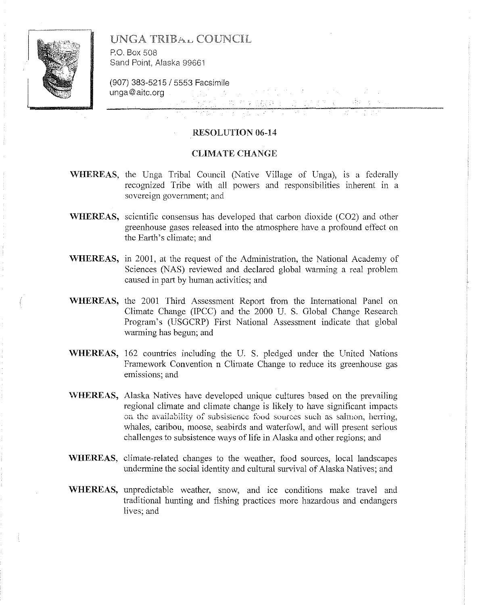

# UNGA TRIBAL COUNCIL

P.O. Box 508 Sand Point, Alaska 99661

(907) 383-5215/5553 Facsimile unga@aitc.org

### RESOLUTION 06-14

#### CLIMATE CHANGE

- WHEREAS, the Unga Tribal Council (Native Village of Unga), is a federally recognized Tribe with all powers and responsibilities inherent in a sovereign government; and
- WHEREAS, scientific consensus has developed that carbon dioxide (C02) and other greenhouse gases released into the atmosphere have a profound effect on the Earth's climate; and
- WHEREAS, in 2001, at the request of the Administration, the National Academy of Sciences (NAS) reviewed and declared global warming a real problem caused in part by human activities; and
- WHEREAS, the 2001 Third Assessment Report from the International Panel on Climate Change (IPCC) and the 2000 U. S. Global Change Research Program's (USGCRP) First National Assessment indicate that global warming has begun; and
- WHEREAS, 162 countries including the U. S. pledged under the United Nations Framework Convention n Climate Change to reduce its greenhouse gas emissions; and
- \VHEREAS, Alaska Natives have developed unique cultures based on the prevailing regional climate and climate change is likely to have significant impacts **Oil the availability of** subsistence food **sources** such **as** salmon, herring, whales, caribou, moose, seabirds and waterfowl, and will present serious challenges to subsistence ways of life in Alaska and other regions; and
- WHEREAS, climate-related changes to the weather, food sources, local landscapes undermine the social identity and cultural survival of Alaska Natives; and
- WHEREAS, unpredictable weather, snow, and ice conditions make travel and traditional hunting and fishing practices more hazardous and endangers lives; and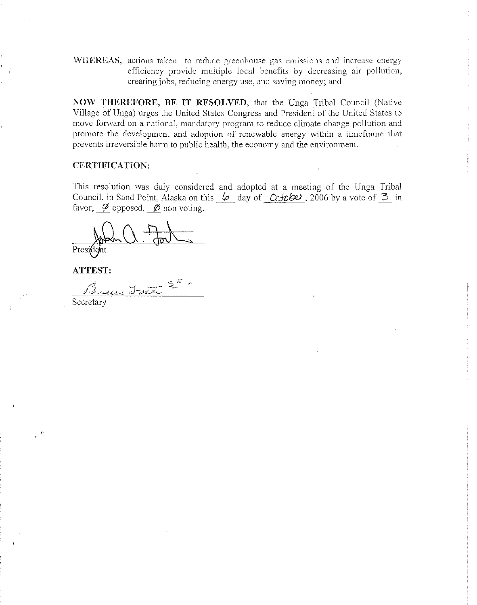WHEREAS, actions taken to reduce greenhouse gas emissions and increase energy efficiency provide multiple local benefits by decreasing air pollution, creating jobs, reducing energy use, and saving money; and

**NOW THEREFORE, BE IT RESOLVED,** that the Unga Tribal Council (Native Village of Unga) urges the United States Congress and President of the United States to move forward on a national, mandatory program to reduce climate change pollution and promote the development and adoption of renewable energy within a timeframe that prevents irreversible harm to public health, the economy and the environment.

# **CERTIFICATION:**

This resolution was duly considered and adopted at a meeting of the Unga Tribal Council, in Sand Point, Alaska on this  $\varphi$  day of Cchokel, 2006 by a vote of  $\beta$  in favor,  $\emptyset$  opposed,  $\emptyset$  non voting.

President

**ATTEST:**

Bruce Trate 5ª

Secretary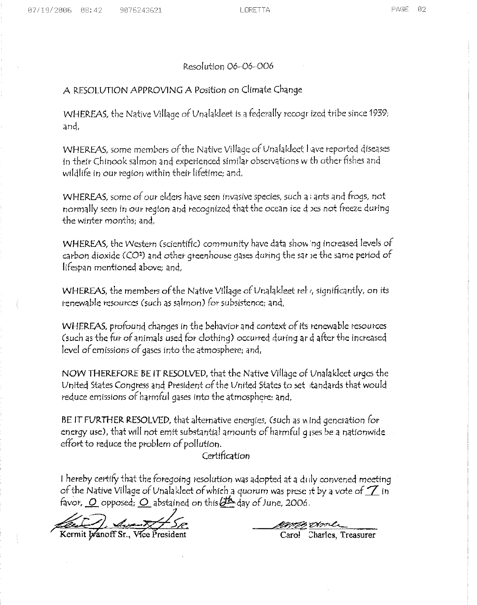#### Resolution 06-06-006

# A RESOLUTION APPROVING A Position on Climate Change

WHEREAS, the Native Village of Unalakleet is a federally recogr ized tribe since 1939; and,

WHEREAS, some members of the Native Village of Unalakleet I ave reported diseases in their Chinooksalmon anq experienced similar observations w th other fishes qnd wildlife in our region within their lifetime; and,

WHEREAS, some of our elders have seen invasive species, such a ; ants and frogs, not normally seen in our region and recognized that the ocean ice d oes not freeze during the Winter months; and,

WHEREAS, the Western (scientific) community have data show ng increased levels of carbon dioxide (CO<sup>2</sup>) and other greenhouse gases during the sarie the same period of lifespan mentioned above; and,

WHEREAS, the members of the Native Village of Unalakleet rely, significantly, on its renewable resources Csuch *as* salmon)*(or* subsistence; and,

WHEREAS, profound changes in the behavior and context of its renewable resources (such as the fur of animals used for clothing) occurred during ar d after the increased level of emissions of gases into the atmosphere; and,

NOW THEREFORE BE IT RESOLVED, that the Native Village of Unalakleet urges the United States Congress and President of the United States to set itandards that would reduce emissions of harmful gases into the atmosphere: and,

BE IT FURTHER RESOLVED, that alternative energies, (such as wind generation for energy use), that will not emit substantial amounts of harmful 9 ises be a nationwide effort to reduce the problem of pollution.

# Certification

favor, <u>O</u> opposed; <u>O</u> abstained on this *difficult* day of June, 2006.<br>The Company of Sec. I hereby certify that the foregoing resolution was adopted at a duly convened meeting of the Native Village of Unalakleet of which a quorum was prese it by a vote of  $\mathbb Z$  in

Kermit *Wanoff* Sr., Vice President

Carol Charles, Treasurer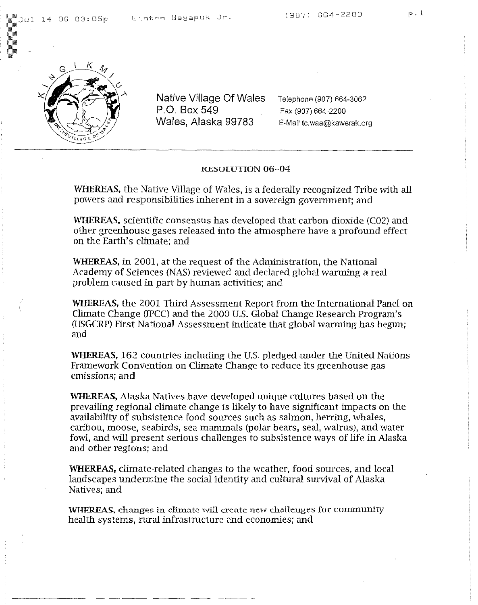

Native Village Of Wales P.O. Box 549 Wales, Alaska 99783

Telephone (907) 664-3062 Fax (907) 664-2200 E-Mail tc,waa@kawerak.org

#### KESOLUTION 06-04

WHEREAS, the Native Village of Wales, is a federally recognized Tribe with all powers and responsibilities inherent in a sovereign government; and

WHEREAS, scientific consensus has developed that carbon dioxide (C02) and other greenhouse gases released into the atmosphere have a profound effect on the Earth's climate; and

WHEREAS, in 2001, at the request of the Administration, the National Academy of Sciences (NAS) reviewed and declared global warming a real problem caused in part by human activities; and

WHEREAS, the 2001 Third Assessment Report from the International Panel on Climate Change (IPCC) and the 2000 U.S. Global Change Research Program's (USGCRP) First National Assessment indicate that global warming has begun; and

WHEREAS, 162 countries including the U.S. pledged under the United Nations Framework Convention on Climate Change to reduce its greenhouse gas emissions; and

WHEREAS, Alaska Natives have developed unique cultures based on the prevailing regional climate change is likely to have significant impacts on the availability of subsistence food sources such as salmon, herring, whales, caribou, moose, seabirds, sea mammals (polar bears, seal, walrus), and water fowl, and will present serious challenges to subsistence ways of life in Alaska and other regions; and

WHEREAS, climate-related changes to the weather, food sources, and local landscapes undermine the social identity and cultural survival of Alaska Natives; and

WHEREAS, changes in climate will create new challenges for community health systems, rural infrastructure and economies; and

----- ---'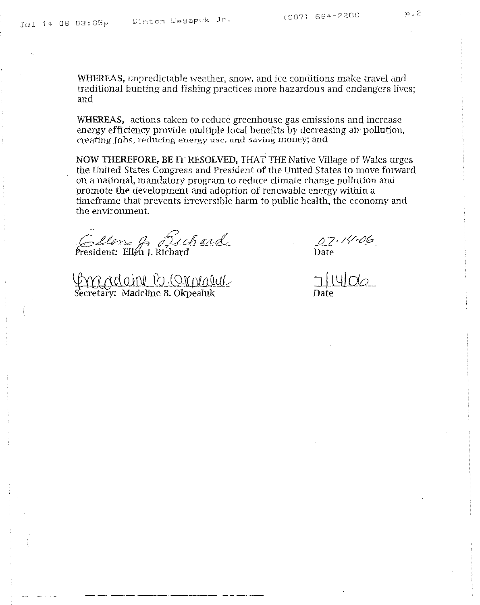WHEREAS, unpredictable weather, snow, and ice conditions make travel and traditional hunting and fishing practices more hazardous and endangers lives; and

**WHEREAS,** actions taken to reduce greenhouse gas emissions and increase energy efficiency provide multiple local benefits by decreasing air pollution, creating jobs, reducing energy usc, and saviug money; and

NOW THEREFORE, BE IT RESOLVED, THAT THE Native Village of Wales urges the United States Congress and President of the United States to move forward on a national, mandatory program to reduce climate change pollution and promote the development and adoption of renewable energy within a timeframe that prevents irreversible harm to public health, the economy and the environment.

 $\ddot{a}$ Cellen G. Dechard

~illtJ!J.:L9l!1aJlJ:1k Secretary: Madeline B. Okpealuk

*J2.Z:.!'C.t!Ji?* Date

Date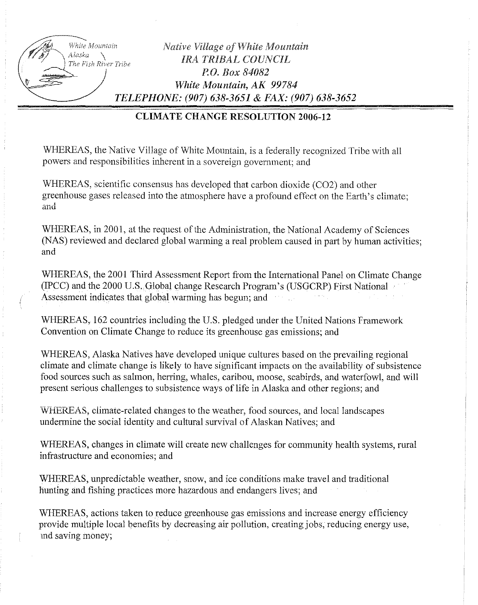| White Mountain                 | <b>Native Village of White Mountain</b>                                                                                                                                            |
|--------------------------------|------------------------------------------------------------------------------------------------------------------------------------------------------------------------------------|
| Alaska<br>The Fish River Tribe | <b>IRA TRIBAL COUNCIL</b>                                                                                                                                                          |
|                                | P.O. Box 84082                                                                                                                                                                     |
|                                | White Mountain, AK 99784                                                                                                                                                           |
|                                | TELEPHONE: (907) 638-3651 & FAX: (907) 638-3652<br>the contract of the contract of the contract of the contract of the contract of the contract of the contract of the contract of |
|                                |                                                                                                                                                                                    |

# CLIMATE CHANGE RESOLUTION 2006-12

WHEREAS, the Native Village of White Mountain, is a federally recognized Tribe with all powers and responsibilities inherent in a sovereign government; and

WHEREAS, scientific consensus has developed that carbon dioxide (C02) and other greenhouse gases released into the atmosphere have a profound effect on the Earth's climate; and

WHEREAS, in 2001, at the request of the Administration, the National Academy of Sciences (NAS) reviewed and declared global warming a real problem caused in part by human activities; and

WHEREAS, the 2001 Third Assessment Report from the International Panel on Climate Change (IPCC) and the 2000 U.S. Global change Research Program's (USGCRP) First National Assessment indicates that global warming has begun; and

WHEREAS, 162 countries including the U.S. pledged under the United Nations Framework Convention on Climate Change to reduce its greenhouse gas emissions; and

WHEREAS, Alaska Natives have developed unique cultures based on the prevailing regional climate and climate change is likely to have significant impacts on the availability of subsistence food sources such as salmon, herring, whales, caribou, moose, seabirds, and waterfowl, and will present serious challenges to subsistence ways of life in Alaska and other regions; and

WHEREAS, climate-related changes to the weather, food sources, and local landscapes undermine the social identity and cultural survival of Alaskan Natives; and

WHEREAS, changes in climate will create new challenges for community health systems, rural infrastructure and economies; and

WHEREAS, unpredictable weather, snow, and ice conditions make travel and traditional hunting and fishing practices more hazardous and endangers lives; and

WHEREAS, actions taken to reduce greenhouse gas emissions and increase energy efficiency provide multiple local benefits by decreasing air pollution, creating jobs, reducing energy use, md saving money;